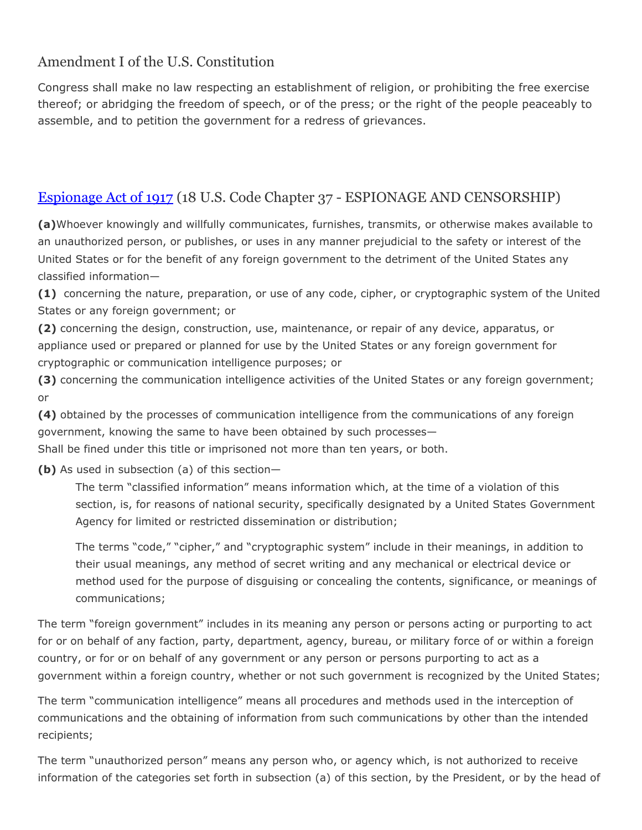## Amendment I of the U.S. Constitution

Congress shall make no law respecting an establishment of religion, or prohibiting the free exercise thereof; or abridging the freedom of speech, or of the press; or the right of the people peaceably to assemble, and to petition the government for a redress of grievances.

# [Espionage Act of 1917](https://en.wikipedia.org/wiki/Espionage_Act_of_1917) (18 U.S. Code Chapter 37 - ESPIONAGE AND CENSORSHIP)

**(a)**Whoever knowingly and willfully communicates, furnishes, transmits, or otherwise makes available to an unauthorized person, or publishes, or uses in any manner prejudicial to the safety or interest of the United States or for the benefit of any foreign government to the detriment of the United States any classified information—

**(1)** concerning the nature, preparation, or use of any code, cipher, or cryptographic system of the United States or any foreign government; or

**(2)** concerning the design, construction, use, maintenance, or repair of any device, apparatus, or appliance used or prepared or planned for use by the United States or any foreign government for cryptographic or communication intelligence purposes; or

**(3)** concerning the communication intelligence activities of the United States or any foreign government; or

**(4)** obtained by the processes of communication intelligence from the communications of any foreign government, knowing the same to have been obtained by such processes— Shall be fined under this title or imprisoned not more than ten years, or both.

**(b)** As used in subsection (a) of this section—

The term "classified information" means information which, at the time of a violation of this section, is, for reasons of national security, specifically designated by a United States Government Agency for limited or restricted dissemination or distribution;

The terms "code," "cipher," and "cryptographic system" include in their meanings, in addition to their usual meanings, any method of secret writing and any mechanical or electrical device or method used for the purpose of disguising or concealing the contents, significance, or meanings of communications;

The term "foreign government" includes in its meaning any person or persons acting or purporting to act for or on behalf of any faction, party, department, agency, bureau, or military force of or within a foreign country, or for or on behalf of any government or any person or persons purporting to act as a government within a foreign country, whether or not such government is recognized by the United States;

The term "communication intelligence" means all procedures and methods used in the interception of communications and the obtaining of information from such communications by other than the intended recipients;

The term "unauthorized person" means any person who, or agency which, is not authorized to receive information of the categories set forth in subsection (a) of this section, by the President, or by the head of